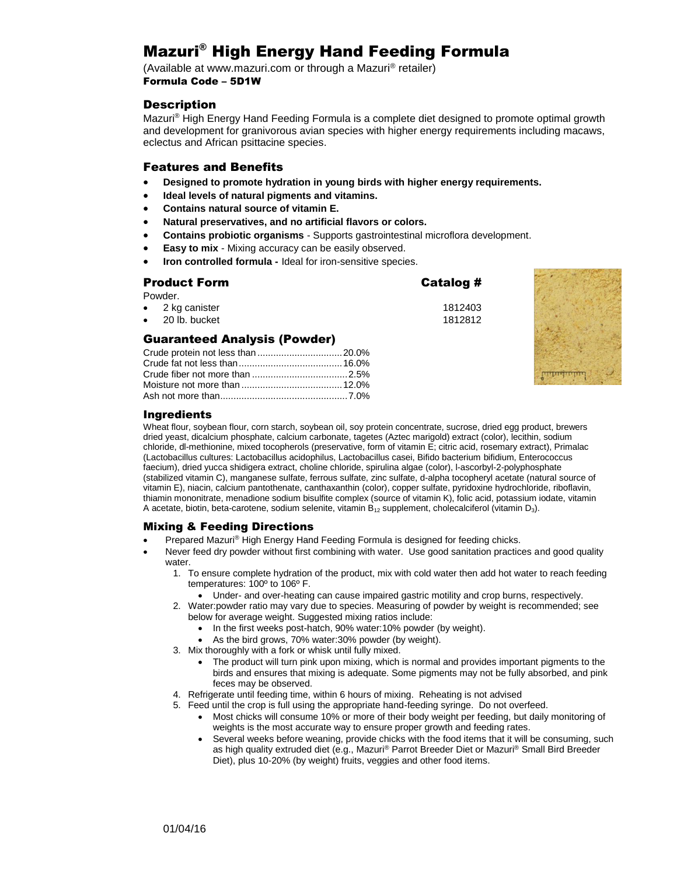# Mazuri® High Energy Hand Feeding Formula

(Available at www.mazuri.com or through a Mazuri® retailer) Formula Code – 5D1W

#### **Description**

Mazuri® High Energy Hand Feeding Formula is a complete diet designed to promote optimal growth and development for granivorous avian species with higher energy requirements including macaws, eclectus and African psittacine species.

#### Features and Benefits

- **Designed to promote hydration in young birds with higher energy requirements.**
- **Ideal levels of natural pigments and vitamins.**

Crude fat not less than.......................................16.0% Crude fiber not more than ....................................2.5% Moisture not more than ......................................12.0% Ash not more than................................................7.0%

- **Contains natural source of vitamin E.**
- **Natural preservatives, and no artificial flavors or colors.**
- **Contains probiotic organisms** Supports gastrointestinal microflora development.
- **Easy to mix** Mixing accuracy can be easily observed.
- **Iron controlled formula -** Ideal for iron-sensitive species.

#### Product Form **Catalog #**

| Powder.                             |         |  |
|-------------------------------------|---------|--|
| $\bullet$ 2 kg canister             | 1812403 |  |
| $\bullet$ 20 lb. bucket             | 1812812 |  |
| <b>Guaranteed Analysis (Powder)</b> |         |  |
|                                     |         |  |



#### Ingredients

Wheat flour, soybean flour, corn starch, soybean oil, soy protein concentrate, sucrose, dried egg product, brewers dried yeast, dicalcium phosphate, calcium carbonate, tagetes (Aztec marigold) extract (color), lecithin, sodium chloride, dl-methionine, mixed tocopherols (preservative, form of vitamin E; citric acid, rosemary extract), Primalac (Lactobacillus cultures: Lactobacillus acidophilus, Lactobacillus casei, Bifido bacterium bifidium, Enterococcus faecium), dried yucca shidigera extract, choline chloride, spirulina algae (color), l-ascorbyl-2-polyphosphate (stabilized vitamin C), manganese sulfate, ferrous sulfate, zinc sulfate, d-alpha tocopheryl acetate (natural source of vitamin E), niacin, calcium pantothenate, canthaxanthin (color), copper sulfate, pyridoxine hydrochloride, riboflavin, thiamin mononitrate, menadione sodium bisulfite complex (source of vitamin K), folic acid, potassium iodate, vitamin A acetate, biotin, beta-carotene, sodium selenite, vitamin  $B_{12}$  supplement, cholecalciferol (vitamin  $D_3$ ).

#### Mixing & Feeding Directions

- Prepared Mazuri® High Energy Hand Feeding Formula is designed for feeding chicks.
- Never feed dry powder without first combining with water. Use good sanitation practices and good quality water.
	- 1. To ensure complete hydration of the product, mix with cold water then add hot water to reach feeding temperatures: 100º to 106º F.
		- Under- and over-heating can cause impaired gastric motility and crop burns, respectively.
	- 2. Water:powder ratio may vary due to species. Measuring of powder by weight is recommended; see below for average weight. Suggested mixing ratios include:
		- In the first weeks post-hatch, 90% water:10% powder (by weight).
		- As the bird grows, 70% water:30% powder (by weight).
	- 3. Mix thoroughly with a fork or whisk until fully mixed.
		- The product will turn pink upon mixing, which is normal and provides important pigments to the birds and ensures that mixing is adequate. Some pigments may not be fully absorbed, and pink feces may be observed.
	- 4. Refrigerate until feeding time, within 6 hours of mixing. Reheating is not advised
	- 5. Feed until the crop is full using the appropriate hand-feeding syringe. Do not overfeed.
		- Most chicks will consume 10% or more of their body weight per feeding, but daily monitoring of weights is the most accurate way to ensure proper growth and feeding rates.
		- Several weeks before weaning, provide chicks with the food items that it will be consuming, such as high quality extruded diet (e.g., Mazuri® Parrot Breeder Diet or Mazuri® Small Bird Breeder Diet), plus 10-20% (by weight) fruits, veggies and other food items.